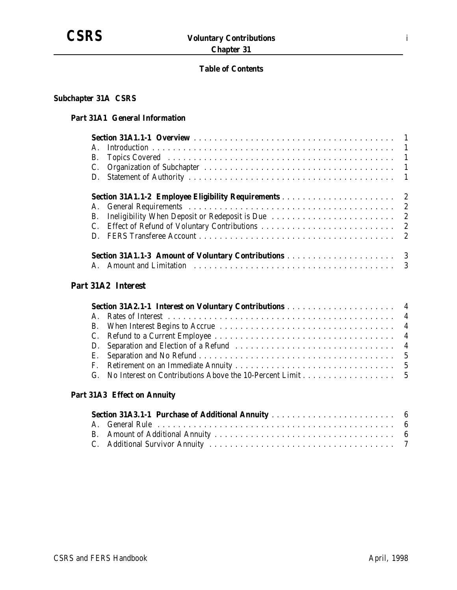

### **Table of Contents**

### **Subchapter 31A CSRS**

### **Part 31A1 General Information**

| $\mathsf{A}$ |  |
|--------------|--|
| <b>B.</b>    |  |
| C.           |  |
|              |  |
|              |  |
|              |  |
| B.           |  |
| C.           |  |
| $\mathbf{D}$ |  |
|              |  |
|              |  |

# **Part 31A2 Interest**

## **Part 31A3 Effect on Annuity**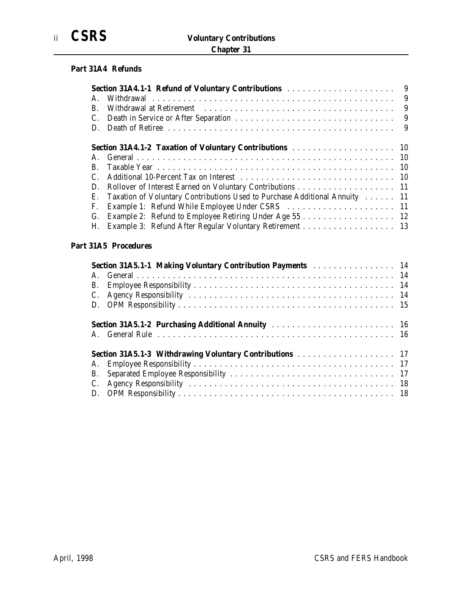### **Part 31A4 Refunds**

| A.             |                                                                                                                                                                     |  |
|----------------|---------------------------------------------------------------------------------------------------------------------------------------------------------------------|--|
| $\mathbf{B}$ . |                                                                                                                                                                     |  |
|                |                                                                                                                                                                     |  |
|                |                                                                                                                                                                     |  |
|                | <b>Section 31A4.1-2 Taxation of Voluntary Contributions construction of the Section 31A4.1-2 Taxation of Voluntary Contributions</b> constants and section 31A4.1-2 |  |
|                |                                                                                                                                                                     |  |
| B.             |                                                                                                                                                                     |  |
|                |                                                                                                                                                                     |  |
|                | D. Rollover of Interest Earned on Voluntary Contributions 11                                                                                                        |  |
|                | E. Taxation of Voluntary Contributions Used to Purchase Additional Annuity 11                                                                                       |  |
|                | F. Example 1: Refund While Employee Under CSRS  11                                                                                                                  |  |
|                | G. Example 2: Refund to Employee Retiring Under Age 55 12                                                                                                           |  |
|                | H. Example 3: Refund After Regular Voluntary Retirement 13                                                                                                          |  |

### **Part 31A5 Procedures**

| Section 31A5.1-1 Making Voluntary Contribution Payments  14 |  |
|-------------------------------------------------------------|--|
|                                                             |  |
|                                                             |  |
|                                                             |  |
|                                                             |  |
| Section 31A5.1-2 Purchasing Additional Annuity  16          |  |
|                                                             |  |
| Section 31A5.1-3 Withdrawing Voluntary Contributions  17    |  |
|                                                             |  |
|                                                             |  |
|                                                             |  |
|                                                             |  |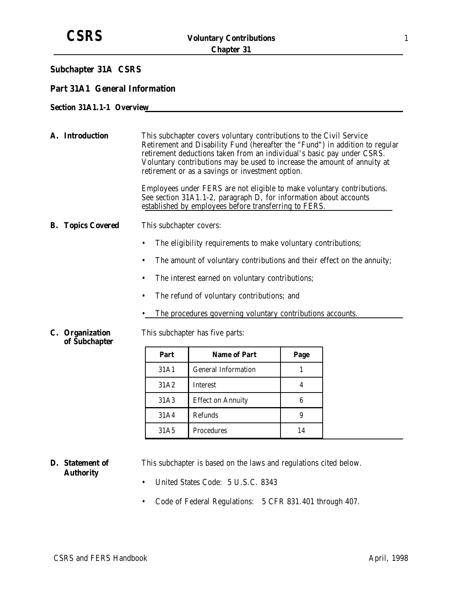### **Subchapter 31A CSRS**

### **Part 31A1 General Information**

### **Section 31A1.1-1 Overview**

|  | A. Introduction                  | This subchapter covers voluntary contributions to the Civil Service<br>Retirement and Disability Fund (hereafter the "Fund") in addition to regular<br>retirement deductions taken from an individual's basic pay under CSRS.<br>Voluntary contributions may be used to increase the amount of annuity at<br>retirement or as a savings or investment option. |                                                                                                                                                                                                      |      |  |  |  |  |
|--|----------------------------------|---------------------------------------------------------------------------------------------------------------------------------------------------------------------------------------------------------------------------------------------------------------------------------------------------------------------------------------------------------------|------------------------------------------------------------------------------------------------------------------------------------------------------------------------------------------------------|------|--|--|--|--|
|  |                                  |                                                                                                                                                                                                                                                                                                                                                               | Employees under FERS are not eligible to make voluntary contributions.<br>See section 31A1.1-2, paragraph D, for information about accounts<br>established by employees before transferring to FERS. |      |  |  |  |  |
|  | <b>B.</b> Topics Covered         | This subchapter covers:                                                                                                                                                                                                                                                                                                                                       |                                                                                                                                                                                                      |      |  |  |  |  |
|  |                                  | $\bullet$                                                                                                                                                                                                                                                                                                                                                     | The eligibility requirements to make voluntary contributions;                                                                                                                                        |      |  |  |  |  |
|  |                                  | $\bullet$                                                                                                                                                                                                                                                                                                                                                     | The amount of voluntary contributions and their effect on the annuity;                                                                                                                               |      |  |  |  |  |
|  |                                  | $\bullet$                                                                                                                                                                                                                                                                                                                                                     | The interest earned on voluntary contributions;                                                                                                                                                      |      |  |  |  |  |
|  |                                  |                                                                                                                                                                                                                                                                                                                                                               |                                                                                                                                                                                                      |      |  |  |  |  |
|  |                                  | The refund of voluntary contributions; and<br>$\bullet$                                                                                                                                                                                                                                                                                                       |                                                                                                                                                                                                      |      |  |  |  |  |
|  |                                  | The procedures governing voluntary contributions accounts.                                                                                                                                                                                                                                                                                                    |                                                                                                                                                                                                      |      |  |  |  |  |
|  | C. Organization<br>of Subchapter |                                                                                                                                                                                                                                                                                                                                                               | This subchapter has five parts:                                                                                                                                                                      |      |  |  |  |  |
|  |                                  | Part                                                                                                                                                                                                                                                                                                                                                          | <b>Name of Part</b>                                                                                                                                                                                  | Page |  |  |  |  |
|  |                                  | 31A1                                                                                                                                                                                                                                                                                                                                                          | <b>General Information</b>                                                                                                                                                                           | 1    |  |  |  |  |
|  |                                  |                                                                                                                                                                                                                                                                                                                                                               |                                                                                                                                                                                                      |      |  |  |  |  |
|  |                                  | 6                                                                                                                                                                                                                                                                                                                                                             |                                                                                                                                                                                                      |      |  |  |  |  |
|  |                                  |                                                                                                                                                                                                                                                                                                                                                               |                                                                                                                                                                                                      |      |  |  |  |  |
|  |                                  | Procedures<br>31A <sub>5</sub><br>14                                                                                                                                                                                                                                                                                                                          |                                                                                                                                                                                                      |      |  |  |  |  |

**D. Statement of Authority** This subchapter is based on the laws and regulations cited below. • United States Code: 5 U.S.C. 8343

- 
- Code of Federal Regulations: 5 CFR 831.401 through 407.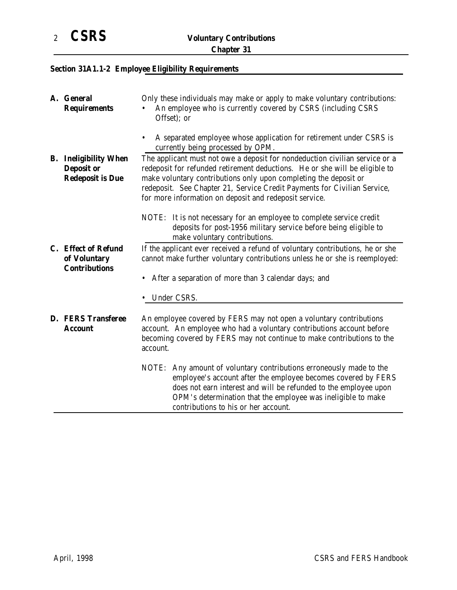# **Section 31A1.1-2 Employee Eligibility Requirements**

|                                                             | A. General<br><b>Requirements</b>                                            | Only these individuals may make or apply to make voluntary contributions:<br>An employee who is currently covered by CSRS (including CSRS<br>Offset); or                                                                                                                                                                                                             |  |  |
|-------------------------------------------------------------|------------------------------------------------------------------------------|----------------------------------------------------------------------------------------------------------------------------------------------------------------------------------------------------------------------------------------------------------------------------------------------------------------------------------------------------------------------|--|--|
|                                                             |                                                                              | A separated employee whose application for retirement under CSRS is<br>$\bullet$<br>currently being processed by OPM.                                                                                                                                                                                                                                                |  |  |
|                                                             | <b>B.</b> Ineligibility When<br><b>Deposit or</b><br><b>Redeposit is Due</b> | The applicant must not owe a deposit for nondeduction civilian service or a<br>redeposit for refunded retirement deductions. He or she will be eligible to<br>make voluntary contributions only upon completing the deposit or<br>redeposit. See Chapter 21, Service Credit Payments for Civilian Service,<br>for more information on deposit and redeposit service. |  |  |
|                                                             |                                                                              | NOTE: It is not necessary for an employee to complete service credit<br>deposits for post-1956 military service before being eligible to<br>make voluntary contributions.                                                                                                                                                                                            |  |  |
| C. Effect of Refund<br>of Voluntary<br><b>Contributions</b> |                                                                              | If the applicant ever received a refund of voluntary contributions, he or she<br>cannot make further voluntary contributions unless he or she is reemployed:                                                                                                                                                                                                         |  |  |
|                                                             |                                                                              | After a separation of more than 3 calendar days; and<br>Under CSRS.                                                                                                                                                                                                                                                                                                  |  |  |
|                                                             | <b>D. FERS Transferee</b><br><b>Account</b>                                  | An employee covered by FERS may not open a voluntary contributions<br>account. An employee who had a voluntary contributions account before<br>becoming covered by FERS may not continue to make contributions to the<br>account.                                                                                                                                    |  |  |
|                                                             |                                                                              | NOTE: Any amount of voluntary contributions erroneously made to the<br>employee's account after the employee becomes covered by FERS<br>does not earn interest and will be refunded to the employee upon<br>OPM's determination that the employee was ineligible to make<br>contributions to his or her account.                                                     |  |  |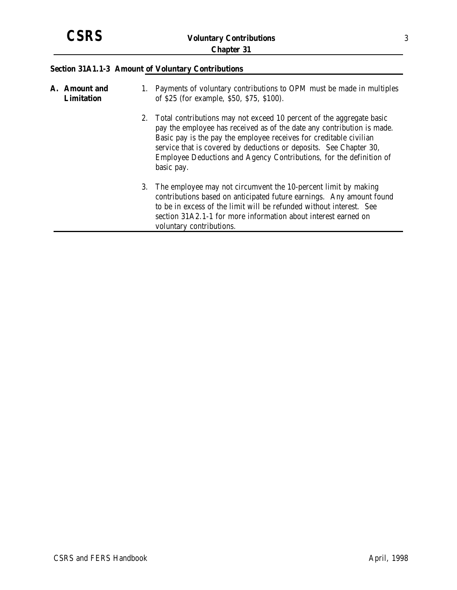## **Section 31A1.1-3 Amount of Voluntary Contributions**

| A. Amount and<br><b>Limitation</b> | 1. Payments of voluntary contributions to OPM must be made in multiples<br>of \$25 (for example, \$50, \$75, \$100).                                                                                                                                                                                                                                                               |
|------------------------------------|------------------------------------------------------------------------------------------------------------------------------------------------------------------------------------------------------------------------------------------------------------------------------------------------------------------------------------------------------------------------------------|
|                                    | 2. Total contributions may not exceed 10 percent of the aggregate basic<br>pay the employee has received as of the date any contribution is made.<br>Basic pay is the pay the employee receives for creditable civilian<br>service that is covered by deductions or deposits. See Chapter 30,<br>Employee Deductions and Agency Contributions, for the definition of<br>basic pay. |
|                                    | 3. The employee may not circumvent the 10-percent limit by making<br>contributions based on anticipated future earnings. Any amount found<br>to be in excess of the limit will be refunded without interest. See<br>section 31A2.1-1 for more information about interest earned on<br>voluntary contributions.                                                                     |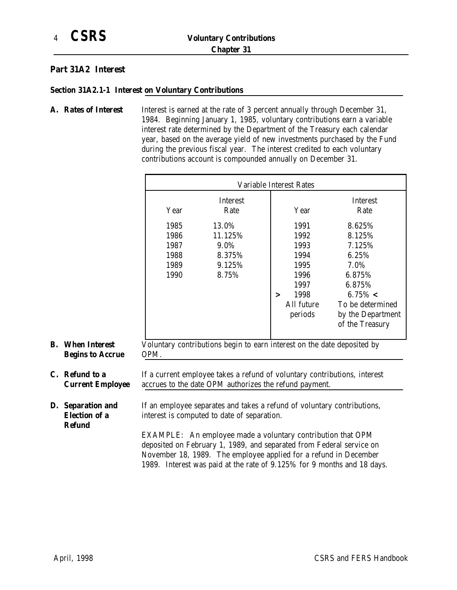### **Part 31A2 Interest**

### **Section 31A2.1-1 Interest on Voluntary Contributions**

A. Rates of Interest Interest is earned at the rate of 3 percent annually through December 31, 1984. Beginning January 1, 1985, voluntary contributions earn a variable interest rate determined by the Department of the Treasury each calendar year, based on the average yield of new investments purchased by the Fund during the previous fiscal year. The interest credited to each voluntary contributions account is compounded annually on December 31.

|    |                                                            |                                              | Variable Interest Rates                                                                                                                                                                                  |                                                                        |                                                                               |  |  |
|----|------------------------------------------------------------|----------------------------------------------|----------------------------------------------------------------------------------------------------------------------------------------------------------------------------------------------------------|------------------------------------------------------------------------|-------------------------------------------------------------------------------|--|--|
|    |                                                            | Year                                         | Interest<br>Rate                                                                                                                                                                                         | Year                                                                   | Interest<br>Rate                                                              |  |  |
|    |                                                            | 1985<br>1986<br>1987<br>1988<br>1989<br>1990 | 13.0%<br>11.125%<br>9.0%<br>8.375%<br>9.125%<br>8.75%                                                                                                                                                    | 1991<br>1992<br>1993<br>1994<br>1995<br>1996<br>1997<br>1998<br>$\geq$ | 8.625%<br>8.125%<br>7.125%<br>6.25%<br>7.0%<br>6.875%<br>6.875%<br>$6.75\% <$ |  |  |
|    |                                                            |                                              |                                                                                                                                                                                                          | All future<br>periods                                                  | To be determined<br>by the Department<br>of the Treasury                      |  |  |
| B. | <b>When Interest</b><br><b>Begins to Accrue</b>            | OPM.                                         | Voluntary contributions begin to earn interest on the date deposited by                                                                                                                                  |                                                                        |                                                                               |  |  |
|    | C. Refund to a<br><b>Current Employee</b>                  |                                              | If a current employee takes a refund of voluntary contributions, interest<br>accrues to the date OPM authorizes the refund payment.                                                                      |                                                                        |                                                                               |  |  |
|    | D. Separation and<br><b>Election of a</b><br><b>Refund</b> |                                              | If an employee separates and takes a refund of voluntary contributions,<br>interest is computed to date of separation.<br>$\rm FYAMPI$ $\rm F:$ An employee made a voluntary contribution that $\rm OPM$ |                                                                        |                                                                               |  |  |

EXAMPLE: An employee made a voluntary contribution that OPM deposited on February 1, 1989, and separated from Federal service on November 18, 1989. The employee applied for a refund in December 1989. Interest was paid at the rate of 9.125% for 9 months and 18 days.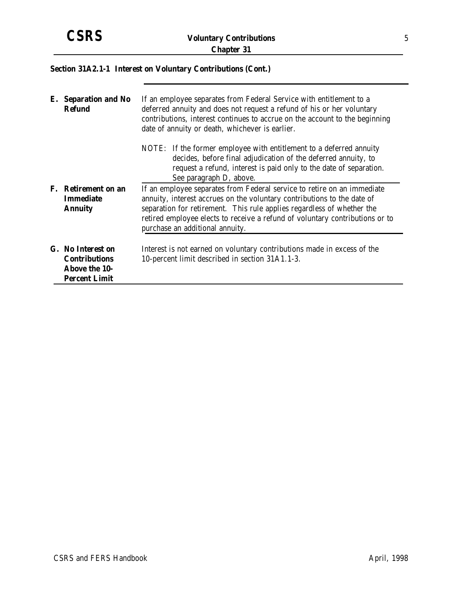## **Section 31A2.1-1 Interest on Voluntary Contributions (Cont.)**

| E. Separation and No<br><b>Refund</b>                                                     | If an employee separates from Federal Service with entitlement to a<br>deferred annuity and does not request a refund of his or her voluntary<br>contributions, interest continues to accrue on the account to the beginning<br>date of annuity or death, whichever is earlier.                                                                 |  |  |
|-------------------------------------------------------------------------------------------|-------------------------------------------------------------------------------------------------------------------------------------------------------------------------------------------------------------------------------------------------------------------------------------------------------------------------------------------------|--|--|
|                                                                                           | NOTE: If the former employee with entitlement to a deferred annuity<br>decides, before final adjudication of the deferred annuity, to<br>request a refund, interest is paid only to the date of separation.<br>See paragraph D, above.                                                                                                          |  |  |
| F. Retirement on an<br><b>Immediate</b><br><b>Annuity</b>                                 | If an employee separates from Federal service to retire on an immediate<br>annuity, interest accrues on the voluntary contributions to the date of<br>separation for retirement. This rule applies regardless of whether the<br>retired employee elects to receive a refund of voluntary contributions or to<br>purchase an additional annuity. |  |  |
| G. No Interest on<br><b>Contributions</b><br><b>Above the 10-</b><br><b>Percent Limit</b> | Interest is not earned on voluntary contributions made in excess of the<br>10-percent limit described in section 31A1.1-3.                                                                                                                                                                                                                      |  |  |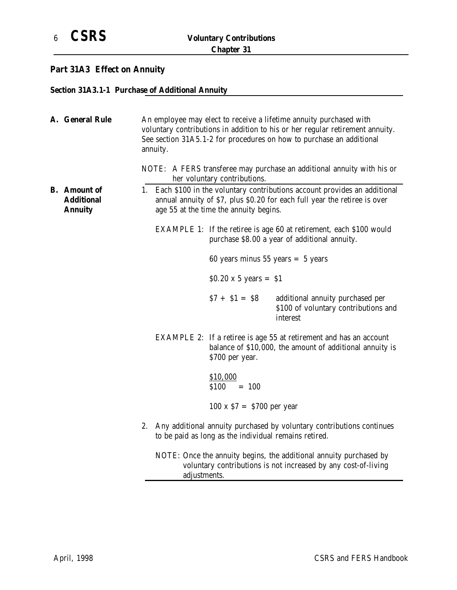# **Part 31A3 Effect on Annuity**

### **Section 31A3.1-1 Purchase of Additional Annuity**

| A. General Rule                                            | An employee may elect to receive a lifetime annuity purchased with<br>voluntary contributions in addition to his or her regular retirement annuity.<br>See section 31A5.1-2 for procedures on how to purchase an additional<br>annuity.<br>NOTE: A FERS transferee may purchase an additional annuity with his or |                                                       |                                                                                                                                       |
|------------------------------------------------------------|-------------------------------------------------------------------------------------------------------------------------------------------------------------------------------------------------------------------------------------------------------------------------------------------------------------------|-------------------------------------------------------|---------------------------------------------------------------------------------------------------------------------------------------|
|                                                            |                                                                                                                                                                                                                                                                                                                   | her voluntary contributions.                          |                                                                                                                                       |
| <b>B.</b> Amount of<br><b>Additional</b><br><b>Annuity</b> | 1. Each \$100 in the voluntary contributions account provides an additional<br>annual annuity of \$7, plus \$0.20 for each full year the retiree is over<br>age 55 at the time the annuity begins.                                                                                                                |                                                       |                                                                                                                                       |
|                                                            |                                                                                                                                                                                                                                                                                                                   |                                                       | EXAMPLE 1: If the retiree is age 60 at retirement, each \$100 would<br>purchase \$8.00 a year of additional annuity.                  |
|                                                            |                                                                                                                                                                                                                                                                                                                   | 60 years minus $55$ years = 5 years                   |                                                                                                                                       |
|                                                            |                                                                                                                                                                                                                                                                                                                   | \$0.20 x 5 years = \$1                                |                                                                                                                                       |
|                                                            |                                                                                                                                                                                                                                                                                                                   | $$7 + $1 = $8$$                                       | additional annuity purchased per<br>\$100 of voluntary contributions and<br>interest                                                  |
|                                                            |                                                                                                                                                                                                                                                                                                                   | \$700 per year.                                       | <b>EXAMPLE 2:</b> If a retiree is age 55 at retirement and has an account<br>balance of \$10,000, the amount of additional annuity is |
|                                                            |                                                                                                                                                                                                                                                                                                                   | \$10,000<br>\$100<br>$= 100$                          |                                                                                                                                       |
|                                                            |                                                                                                                                                                                                                                                                                                                   | $100 \times $7 = $700$ per year                       |                                                                                                                                       |
|                                                            |                                                                                                                                                                                                                                                                                                                   | to be paid as long as the individual remains retired. | 2. Any additional annuity purchased by voluntary contributions continues                                                              |
|                                                            | adjustments.                                                                                                                                                                                                                                                                                                      |                                                       | NOTE: Once the annuity begins, the additional annuity purchased by<br>voluntary contributions is not increased by any cost-of-living  |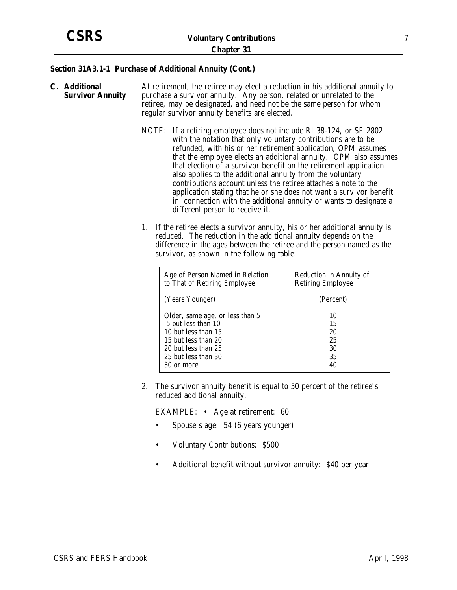#### **Section 31A3.1-1 Purchase of Additional Annuity (Cont.)**

- **C. Additional Survivor Annuity** At retirement, the retiree may elect a reduction in his additional annuity to purchase a survivor annuity. Any person, related or unrelated to the retiree, may be designated, and need not be the same person for whom regular survivor annuity benefits are elected.
	- NOTE: If a retiring employee does not include RI 38-124, or SF 2802 with the notation that only voluntary contributions are to be refunded, with his or her retirement application, OPM assumes that the employee elects an additional annuity. OPM also assumes that election of a survivor benefit on the retirement application also applies to the additional annuity from the voluntary contributions account unless the retiree attaches a note to the application stating that he or she does not want a survivor benefit in connection with the additional annuity or wants to designate a different person to receive it.
	- 1. If the retiree elects a survivor annuity, his or her additional annuity is reduced. The reduction in the additional annuity depends on the difference in the ages between the retiree and the person named as the survivor, as shown in the following table:

| Age of Person Named in Relation | Reduction in Annuity of  |
|---------------------------------|--------------------------|
| to That of Retiring Employee    | <b>Retiring Employee</b> |
| (Years Younger)                 | (Percent)                |
| Older, same age, or less than 5 | 10                       |
| 5 but less than 10              | 15                       |
| 10 but less than 15             | 20                       |
| 15 but less than 20             | 25                       |
| 20 but less than 25             | 30                       |
| 25 but less than 30             | 35                       |
| 30 or more                      | 40                       |

2. The survivor annuity benefit is equal to 50 percent of the retiree's reduced additional annuity.

EXAMPLE: • Age at retirement: 60

- Spouse's age: 54 (6 years younger)
- Voluntary Contributions: \$500
- Additional benefit without survivor annuity: \$40 per year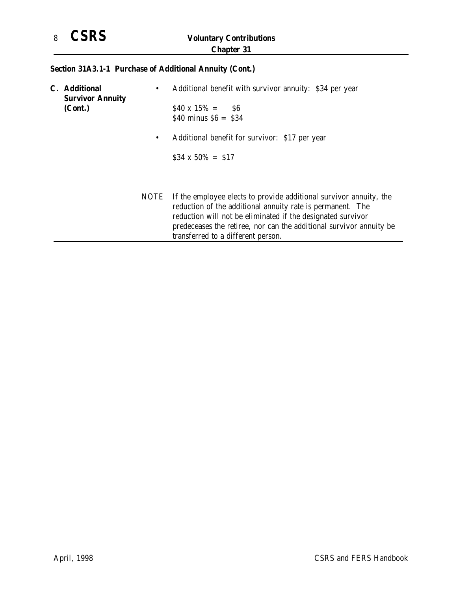

# **Section 31A3.1-1 Purchase of Additional Annuity (Cont.)**

|  | <b>C.</b> Additional<br><b>Survivor Annuity</b> | ٠         | Additional benefit with survivor annuity: \$34 per year                                                                                                                                         |
|--|-------------------------------------------------|-----------|-------------------------------------------------------------------------------------------------------------------------------------------------------------------------------------------------|
|  | (Cont.)                                         |           | $$40 \times 15\% = $6$<br>\$40 minus $$6 = $34$                                                                                                                                                 |
|  |                                                 | $\bullet$ | Additional benefit for survivor: \$17 per year                                                                                                                                                  |
|  |                                                 |           | $$34 \times 50\% = $17$                                                                                                                                                                         |
|  |                                                 | NOTE      | If the employee elects to provide additional survivor annuity, the<br>reduction of the additional annuity rate is permanent. The<br>reduction will not be eliminated if the designated survivor |
|  |                                                 |           | predeceases the retiree, nor can the additional survivor annuity be<br>transferred to a different person.                                                                                       |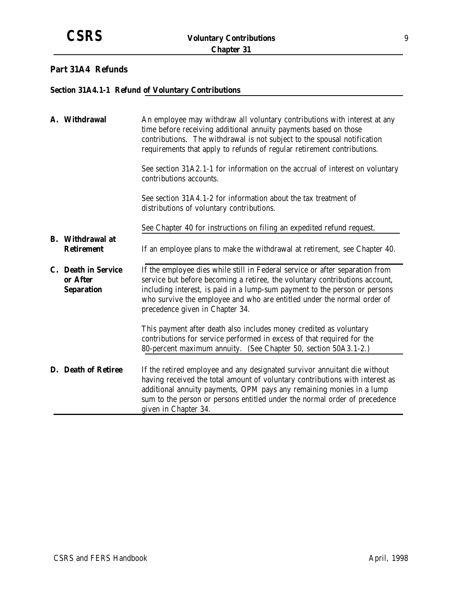## **Part 31A4 Refunds**

### **Section 31A4.1-1 Refund of Voluntary Contributions**

| A. Withdrawal                                        | An employee may withdraw all voluntary contributions with interest at any<br>time before receiving additional annuity payments based on those<br>contributions. The withdrawal is not subject to the spousal notification<br>requirements that apply to refunds of regular retirement contributions.                                                    |  |
|------------------------------------------------------|---------------------------------------------------------------------------------------------------------------------------------------------------------------------------------------------------------------------------------------------------------------------------------------------------------------------------------------------------------|--|
|                                                      | See section 31A2.1-1 for information on the accrual of interest on voluntary<br>contributions accounts.                                                                                                                                                                                                                                                 |  |
|                                                      | See section 31A4.1-2 for information about the tax treatment of<br>distributions of voluntary contributions.                                                                                                                                                                                                                                            |  |
|                                                      | See Chapter 40 for instructions on filing an expedited refund request.                                                                                                                                                                                                                                                                                  |  |
| <b>B.</b> Withdrawal at<br><b>Retirement</b>         | If an employee plans to make the withdrawal at retirement, see Chapter 40.                                                                                                                                                                                                                                                                              |  |
| C. Death in Service<br>or After<br><b>Separation</b> | If the employee dies while still in Federal service or after separation from<br>service but before becoming a retiree, the voluntary contributions account,<br>including interest, is paid in a lump-sum payment to the person or persons<br>who survive the employee and who are entitled under the normal order of<br>precedence given in Chapter 34. |  |
|                                                      | This payment after death also includes money credited as voluntary<br>contributions for service performed in excess of that required for the<br>80-percent maximum annuity. (See Chapter 50, section 50A3.1-2.)                                                                                                                                         |  |
| D. Death of Retiree                                  | If the retired employee and any designated survivor annuitant die without<br>having received the total amount of voluntary contributions with interest as<br>additional annuity payments, OPM pays any remaining monies in a lump<br>sum to the person or persons entitled under the normal order of precedence<br>given in Chapter 34.                 |  |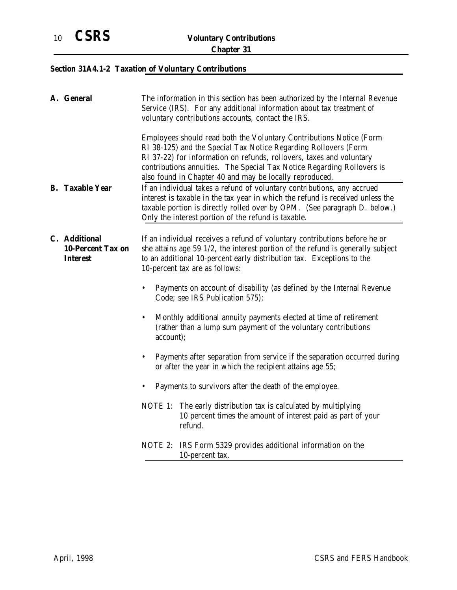# **Section 31A4.1-2 Taxation of Voluntary Contributions**

| A. General                                                   | The information in this section has been authorized by the Internal Revenue<br>Service (IRS). For any additional information about tax treatment of<br>voluntary contributions accounts, contact the IRS.                                                                                                                                           |  |
|--------------------------------------------------------------|-----------------------------------------------------------------------------------------------------------------------------------------------------------------------------------------------------------------------------------------------------------------------------------------------------------------------------------------------------|--|
|                                                              | Employees should read both the Voluntary Contributions Notice (Form<br>RI 38-125) and the Special Tax Notice Regarding Rollovers (Form<br>RI 37-22) for information on refunds, rollovers, taxes and voluntary<br>contributions annuities. The Special Tax Notice Regarding Rollovers is<br>also found in Chapter 40 and may be locally reproduced. |  |
| <b>B.</b> Taxable Year                                       | If an individual takes a refund of voluntary contributions, any accrued<br>interest is taxable in the tax year in which the refund is received unless the<br>taxable portion is directly rolled over by OPM. (See paragraph D. below.)<br>Only the interest portion of the refund is taxable.                                                       |  |
| C. Additional<br><b>10-Percent Tax on</b><br><b>Interest</b> | If an individual receives a refund of voluntary contributions before he or<br>she attains age 59 1/2, the interest portion of the refund is generally subject<br>to an additional 10-percent early distribution tax. Exceptions to the<br>10-percent tax are as follows:                                                                            |  |
|                                                              | Payments on account of disability (as defined by the Internal Revenue<br>Code; see IRS Publication 575);                                                                                                                                                                                                                                            |  |
|                                                              | Monthly additional annuity payments elected at time of retirement<br>$\bullet$<br>(rather than a lump sum payment of the voluntary contributions<br>account);                                                                                                                                                                                       |  |
|                                                              | Payments after separation from service if the separation occurred during<br>$\bullet$<br>or after the year in which the recipient attains age 55;                                                                                                                                                                                                   |  |
|                                                              | Payments to survivors after the death of the employee.                                                                                                                                                                                                                                                                                              |  |
|                                                              | NOTE 1: The early distribution tax is calculated by multiplying<br>10 percent times the amount of interest paid as part of your<br>refund.                                                                                                                                                                                                          |  |
|                                                              | NOTE 2: IRS Form 5329 provides additional information on the<br>10-percent tax.                                                                                                                                                                                                                                                                     |  |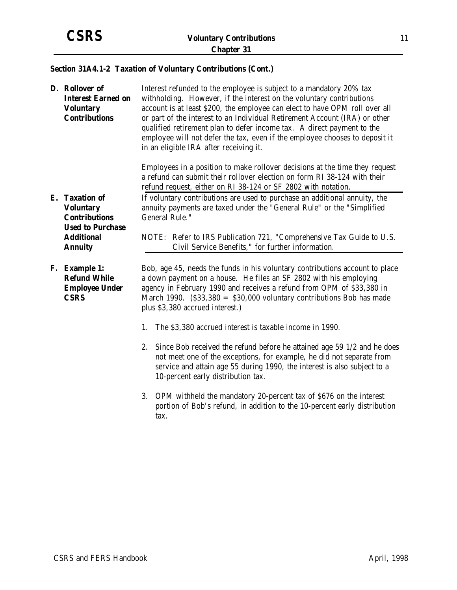## **Section 31A4.1-2 Taxation of Voluntary Contributions (Cont.)**

| D. Rollover of<br><b>Interest Earned on</b><br><b>Voluntary</b><br><b>Contributions</b> | Interest refunded to the employee is subject to a mandatory 20% tax<br>withholding. However, if the interest on the voluntary contributions<br>account is at least \$200, the employee can elect to have OPM roll over all<br>or part of the interest to an Individual Retirement Account (IRA) or other<br>qualified retirement plan to defer income tax. A direct payment to the<br>employee will not defer the tax, even if the employee chooses to deposit it<br>in an eligible IRA after receiving it. |  |
|-----------------------------------------------------------------------------------------|-------------------------------------------------------------------------------------------------------------------------------------------------------------------------------------------------------------------------------------------------------------------------------------------------------------------------------------------------------------------------------------------------------------------------------------------------------------------------------------------------------------|--|
|                                                                                         | Employees in a position to make rollover decisions at the time they request<br>a refund can submit their rollover election on form RI 38-124 with their<br>refund request, either on RI 38-124 or SF 2802 with notation.                                                                                                                                                                                                                                                                                    |  |
| E. Taxation of<br><b>Voluntary</b><br><b>Contributions</b><br><b>Used to Purchase</b>   | If voluntary contributions are used to purchase an additional annuity, the<br>annuity payments are taxed under the "General Rule" or the "Simplified<br>General Rule."                                                                                                                                                                                                                                                                                                                                      |  |
| <b>Additional</b><br><b>Annuity</b>                                                     | NOTE: Refer to IRS Publication 721, "Comprehensive Tax Guide to U.S.<br>Civil Service Benefits," for further information.                                                                                                                                                                                                                                                                                                                                                                                   |  |
| F. Example 1:<br><b>Refund While</b><br><b>Employee Under</b><br><b>CSRS</b>            | Bob, age 45, needs the funds in his voluntary contributions account to place<br>a down payment on a house. He files an SF 2802 with his employing<br>agency in February 1990 and receives a refund from OPM of \$33,380 in<br>March 1990. $(S33,380 = S30,000$ voluntary contributions Bob has made<br>plus \$3,380 accrued interest.)                                                                                                                                                                      |  |
|                                                                                         | The \$3,380 accrued interest is taxable income in 1990.<br>1.                                                                                                                                                                                                                                                                                                                                                                                                                                               |  |
|                                                                                         | Since Bob received the refund before he attained age 59 1/2 and he does<br>2.<br>not meet one of the exceptions, for example, he did not separate from<br>service and attain age 55 during 1990, the interest is also subject to a<br>10-percent early distribution tax.                                                                                                                                                                                                                                    |  |
|                                                                                         | 3.<br>OPM withheld the mandatory 20-percent tax of \$676 on the interest<br>portion of Bob's refund, in addition to the 10-percent early distribution<br>tax.                                                                                                                                                                                                                                                                                                                                               |  |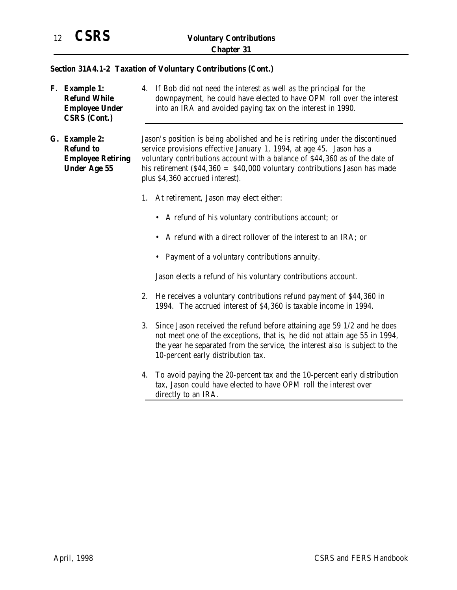### **Section 31A4.1-2 Taxation of Voluntary Contributions (Cont.)**

**F. Example 1: Refund While Employee Under CSRS (Cont.)** 4. If Bob did not need the interest as well as the principal for the downpayment, he could have elected to have OPM roll over the interest into an IRA and avoided paying tax on the interest in 1990.

**G. Example 2: Refund to Employee Retiring Under Age 55**

Jason's position is being abolished and he is retiring under the discontinued service provisions effective January 1, 1994, at age 45. Jason has a voluntary contributions account with a balance of \$44,360 as of the date of his retirement  $(\$44,360 = \$40,000$  voluntary contributions Jason has made plus \$4,360 accrued interest).

- 1. At retirement, Jason may elect either:
	- A refund of his voluntary contributions account; or
	- A refund with a direct rollover of the interest to an IRA; or
	- Payment of a voluntary contributions annuity.

Jason elects a refund of his voluntary contributions account.

- 2. He receives a voluntary contributions refund payment of \$44,360 in 1994. The accrued interest of \$4,360 is taxable income in 1994.
- 3. Since Jason received the refund before attaining age 59 1/2 and he does not meet one of the exceptions, that is, he did not attain age 55 in 1994, the year he separated from the service, the interest also is subject to the 10-percent early distribution tax.
- 4. To avoid paying the 20-percent tax and the 10-percent early distribution tax, Jason could have elected to have OPM roll the interest over directly to an IRA.

April, 1998 CSRS and FERS Handbook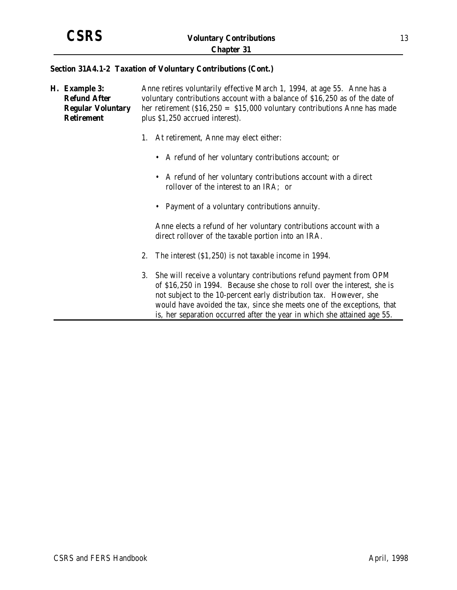#### **Section 31A4.1-2 Taxation of Voluntary Contributions (Cont.)**

**H. Example 3: Refund After Regular Voluntary Retirement** Anne retires voluntarily effective March 1, 1994, at age 55. Anne has a voluntary contributions account with a balance of \$16,250 as of the date of her retirement (\$16,250 = \$15,000 voluntary contributions Anne has made plus \$1,250 accrued interest). 1. At retirement, Anne may elect either: • A refund of her voluntary contributions account; or • A refund of her voluntary contributions account with a direct rollover of the interest to an IRA; or • Payment of a voluntary contributions annuity. Anne elects a refund of her voluntary contributions account with a direct rollover of the taxable portion into an IRA. 2. The interest (\$1,250) is not taxable income in 1994. 3. She will receive a voluntary contributions refund payment from OPM of \$16,250 in 1994. Because she chose to roll over the interest, she is not subject to the 10-percent early distribution tax. However, she would have avoided the tax, since she meets one of the exceptions, that is, her separation occurred after the year in which she attained age 55.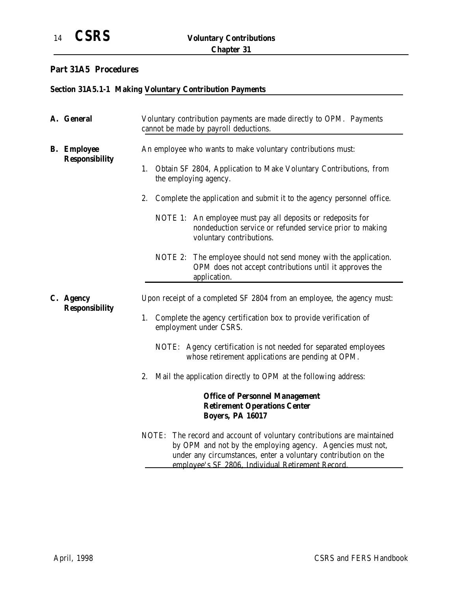### **Part 31A5 Procedures**

# **Section 31A5.1-1 Making Voluntary Contribution Payments**

|  | A. General                                  | Voluntary contribution payments are made directly to OPM. Payments<br>cannot be made by payroll deductions.                                                                                               |
|--|---------------------------------------------|-----------------------------------------------------------------------------------------------------------------------------------------------------------------------------------------------------------|
|  | <b>B.</b> Employee<br><b>Responsibility</b> | An employee who wants to make voluntary contributions must:                                                                                                                                               |
|  |                                             | Obtain SF 2804, Application to Make Voluntary Contributions, from<br>1.<br>the employing agency.                                                                                                          |
|  |                                             | 2.<br>Complete the application and submit it to the agency personnel office.                                                                                                                              |
|  |                                             | NOTE 1: An employee must pay all deposits or redeposits for<br>nondeduction service or refunded service prior to making<br>voluntary contributions.                                                       |
|  |                                             | NOTE 2: The employee should not send money with the application.<br>OPM does not accept contributions until it approves the<br>application.                                                               |
|  | C. Agency                                   | Upon receipt of a completed SF 2804 from an employee, the agency must:                                                                                                                                    |
|  | <b>Responsibility</b>                       | Complete the agency certification box to provide verification of<br>1.<br>employment under CSRS.                                                                                                          |
|  |                                             | NOTE: Agency certification is not needed for separated employees<br>whose retirement applications are pending at OPM.                                                                                     |
|  |                                             | 2.<br>Mail the application directly to OPM at the following address:                                                                                                                                      |
|  |                                             | <b>Office of Personnel Management</b><br><b>Retirement Operations Center</b><br><b>Boyers, PA 16017</b>                                                                                                   |
|  |                                             | The record and account of voluntary contributions are maintained<br>NOTE:<br>by OPM and not by the employing agency. Agencies must not,<br>under any circumstances, enter a voluntary contribution on the |

employee's SF 2806, Individual Retirement Record.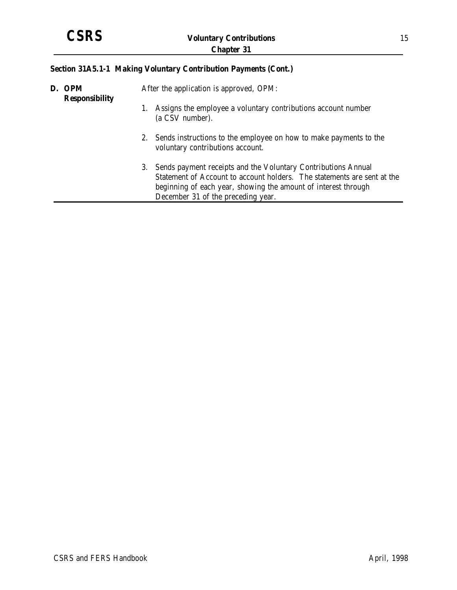## **Section 31A5.1-1 Making Voluntary Contribution Payments (Cont.)**

| D. OPM<br><b>Responsibility</b> |    | After the application is approved, OPM:                                                                                                                                                                                                          |  |
|---------------------------------|----|--------------------------------------------------------------------------------------------------------------------------------------------------------------------------------------------------------------------------------------------------|--|
|                                 |    | Assigns the employee a voluntary contributions account number<br>(a CSV number).                                                                                                                                                                 |  |
|                                 |    | 2. Sends instructions to the employee on how to make payments to the<br>voluntary contributions account.                                                                                                                                         |  |
|                                 | 3. | Sends payment receipts and the Voluntary Contributions Annual<br>Statement of Account to account holders. The statements are sent at the<br>beginning of each year, showing the amount of interest through<br>December 31 of the preceding year. |  |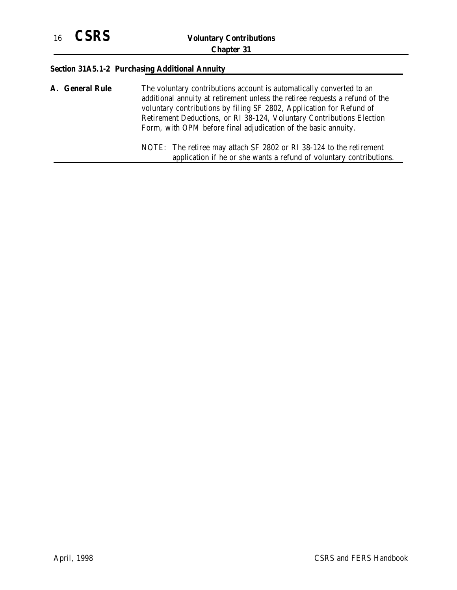## **Section 31A5.1-2 Purchasing Additional Annuity**

| <b>A. General Rule</b> | The voluntary contributions account is automatically converted to an<br>additional annuity at retirement unless the retiree requests a refund of the<br>voluntary contributions by filing SF 2802, Application for Refund of<br>Retirement Deductions, or RI 38-124, Voluntary Contributions Election<br>Form, with OPM before final adjudication of the basic annuity. |
|------------------------|-------------------------------------------------------------------------------------------------------------------------------------------------------------------------------------------------------------------------------------------------------------------------------------------------------------------------------------------------------------------------|
|                        | NOTE: The retiree may attach SF 2802 or RI 38-124 to the retirement<br>application if he or she wants a refund of voluntary contributions.                                                                                                                                                                                                                              |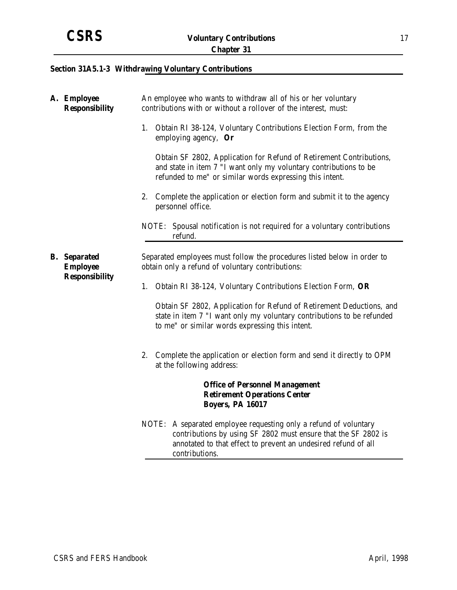## **Section 31A5.1-3 Withdrawing Voluntary Contributions**

| A. Employee<br><b>Responsibility</b>   | An employee who wants to withdraw all of his or her voluntary<br>contributions with or without a rollover of the interest, must:                                                                                       |
|----------------------------------------|------------------------------------------------------------------------------------------------------------------------------------------------------------------------------------------------------------------------|
|                                        | Obtain RI 38-124, Voluntary Contributions Election Form, from the<br>1.<br>employing agency, $\mathbf{Or}$                                                                                                             |
|                                        | Obtain SF 2802, Application for Refund of Retirement Contributions,<br>and state in item 7 "I want only my voluntary contributions to be<br>refunded to me" or similar words expressing this intent.                   |
|                                        | Complete the application or election form and submit it to the agency<br>2.<br>personnel office.                                                                                                                       |
|                                        | NOTE: Spousal notification is not required for a voluntary contributions<br>refund.                                                                                                                                    |
| <b>B.</b> Separated<br><b>Employee</b> | Separated employees must follow the procedures listed below in order to<br>obtain only a refund of voluntary contributions:                                                                                            |
| <b>Responsibility</b>                  | 1.<br>Obtain RI 38-124, Voluntary Contributions Election Form, OR                                                                                                                                                      |
|                                        | Obtain SF 2802, Application for Refund of Retirement Deductions, and<br>state in item 7 "I want only my voluntary contributions to be refunded<br>to me" or similar words expressing this intent.                      |
|                                        | Complete the application or election form and send it directly to OPM<br>2.<br>at the following address:                                                                                                               |
|                                        | <b>Office of Personnel Management</b><br><b>Retirement Operations Center</b><br><b>Boyers, PA 16017</b>                                                                                                                |
|                                        | NOTE: A separated employee requesting only a refund of voluntary<br>contributions by using SF 2802 must ensure that the SF 2802 is<br>annotated to that effect to prevent an undesired refund of all<br>contributions. |